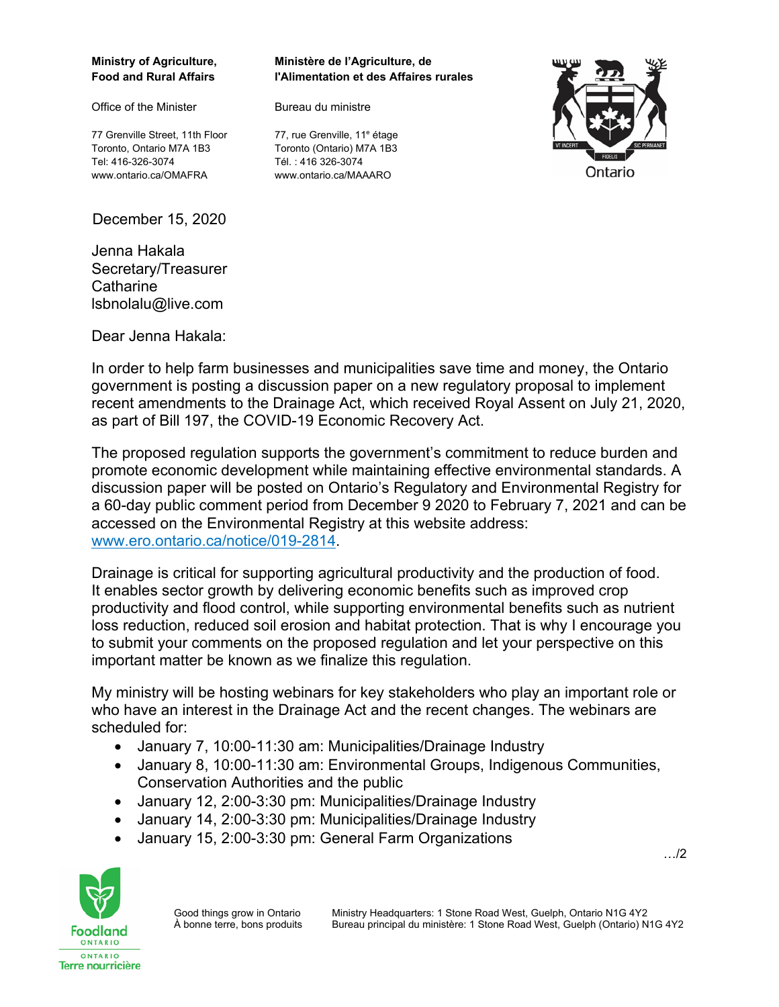Office of the Minister **Bureau du ministre** 

77 Grenville Street, 11th Floor Toronto, Ontario M7A 1B3 Toronto (Ontario) M7A 1B3 Tel: 416-326-3074 Tél. : 416 326-3074 www.ontario.ca/OMAFRA www.ontario.ca/MAAARO

December 15, 2020

Jenna Hakala Secretary/Treasurer **Catharine** lsbnolalu@live.com

**Ministry of Agriculture, Ministère de l'Agriculture, de Food and Rural Affairs l'Alimentation et des Affaires rurales** 



77, rue Grenville, 11<sup>e</sup> étage

Dear Jenna Hakala:

In order to help farm businesses and municipalities save time and money, the Ontario government is posting a discussion paper on a new regulatory proposal to implement recent amendments to the Drainage Act, which received Royal Assent on July 21, 2020, as part of Bill 197, the COVID-19 Economic Recovery Act.

The proposed regulation supports the government's commitment to reduce burden and promote economic development while maintaining effective environmental standards. A discussion paper will be posted on Ontario's Regulatory and Environmental Registry for a 60-day public comment period from December 9 2020 to February 7, 2021 and can be accessed on the Environmental Registry at this website address: [www.ero.ontario.ca/notice/019-2814](http://www.ero.ontario.ca/notice/019-2814).

Drainage is critical for supporting agricultural productivity and the production of food. It enables sector growth by delivering economic benefits such as improved crop productivity and flood control, while supporting environmental benefits such as nutrient loss reduction, reduced soil erosion and habitat protection. That is why I encourage you to submit your comments on the proposed regulation and let your perspective on this important matter be known as we finalize this regulation.

My ministry will be hosting webinars for key stakeholders who play an important role or who have an interest in the Drainage Act and the recent changes. The webinars are scheduled for:

- January 7, 10:00-11:30 am: Municipalities/Drainage Industry
- January 8, 10:00-11:30 am: Environmental Groups, Indigenous Communities, Conservation Authorities and the public
- January 12, 2:00-3:30 pm: Municipalities/Drainage Industry
- January 14, 2:00-3:30 pm: Municipalities/Drainage Industry
- January 15, 2:00-3:30 pm: General Farm Organizations

…/2